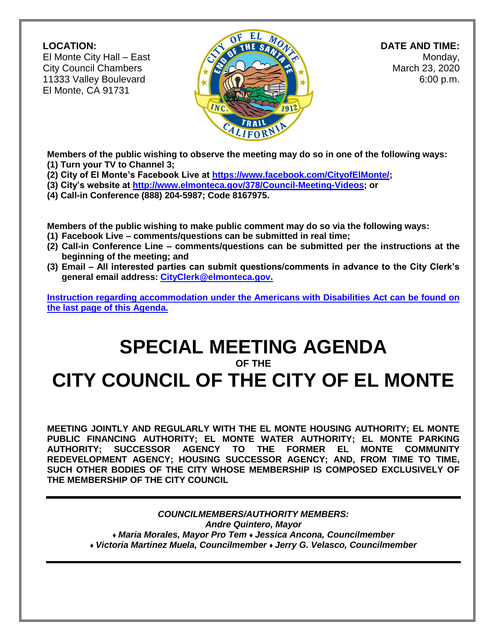#### **LOCATION:**

El Monte City Hall – East City Council Chambers 11333 Valley Boulevard El Monte, CA 91731



 **DATE AND TIME:** Monday, March 23, 2020 6:00 p.m.

**Members of the public wishing to observe the meeting may do so in one of the following ways: (1) Turn your TV to Channel 3;**

- **(2) City of El Monte's Facebook Live at [https://www.facebook.com/CityofElMonte/;](https://www.facebook.com/CityofElMonte/)**
- **(3) City's website at [http://www.elmonteca.gov/378/Council-Meeting-Videos;](http://www.elmonteca.gov/378/Council-Meeting-Videos) or**
- **(4) Call-in Conference (888) 204-5987; Code 8167975.**

**Members of the public wishing to make public comment may do so via the following ways:**

- **(1) Facebook Live – comments/questions can be submitted in real time;**
- **(2) Call-in Conference Line – comments/questions can be submitted per the instructions at the beginning of the meeting; and**
- **(3) Email – All interested parties can submit questions/comments in advance to the City Clerk's general email address: [CityClerk@elmonteca.gov.](mailto:CityClerk@elmonteca.gov)**

**Instruction regarding accommodation under the Americans with Disabilities Act can be found on the last page of this Agenda.** 

## **SPECIAL MEETING AGENDA**

#### **OF THE**

# **CITY COUNCIL OF THE CITY OF EL MONTE**

**MEETING JOINTLY AND REGULARLY WITH THE EL MONTE HOUSING AUTHORITY; EL MONTE PUBLIC FINANCING AUTHORITY; EL MONTE WATER AUTHORITY; EL MONTE PARKING AUTHORITY; SUCCESSOR AGENCY TO THE FORMER EL MONTE COMMUNITY REDEVELOPMENT AGENCY; HOUSING SUCCESSOR AGENCY; AND, FROM TIME TO TIME, SUCH OTHER BODIES OF THE CITY WHOSE MEMBERSHIP IS COMPOSED EXCLUSIVELY OF THE MEMBERSHIP OF THE CITY COUNCIL**

> *COUNCILMEMBERS/AUTHORITY MEMBERS: Andre Quintero, Mayor ♦ Maria Morales, Mayor Pro Tem ♦ Jessica Ancona, Councilmember ♦ Victoria Martinez Muela, Councilmember ♦ Jerry G. Velasco, Councilmember*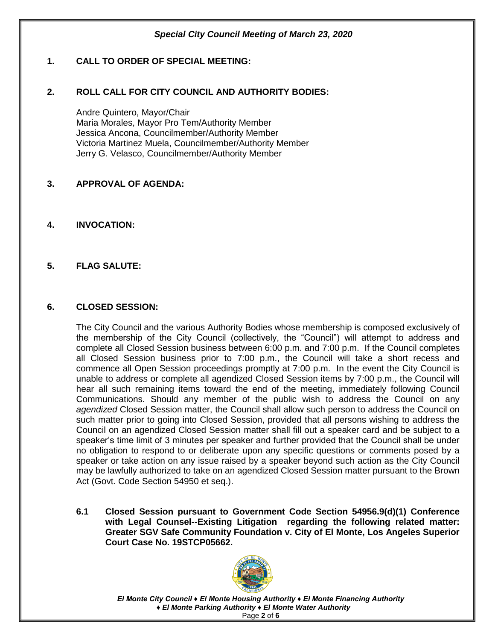#### **1. CALL TO ORDER OF SPECIAL MEETING:**

#### **2. ROLL CALL FOR CITY COUNCIL AND AUTHORITY BODIES:**

Andre Quintero, Mayor/Chair Maria Morales, Mayor Pro Tem/Authority Member Jessica Ancona, Councilmember/Authority Member Victoria Martinez Muela, Councilmember/Authority Member Jerry G. Velasco, Councilmember/Authority Member

#### **3. APPROVAL OF AGENDA:**

**4. INVOCATION:** 

#### **5. FLAG SALUTE:**

#### **6. CLOSED SESSION:**

The City Council and the various Authority Bodies whose membership is composed exclusively of the membership of the City Council (collectively, the "Council") will attempt to address and complete all Closed Session business between 6:00 p.m. and 7:00 p.m. If the Council completes all Closed Session business prior to 7:00 p.m., the Council will take a short recess and commence all Open Session proceedings promptly at 7:00 p.m. In the event the City Council is unable to address or complete all agendized Closed Session items by 7:00 p.m., the Council will hear all such remaining items toward the end of the meeting, immediately following Council Communications. Should any member of the public wish to address the Council on any *agendized* Closed Session matter, the Council shall allow such person to address the Council on such matter prior to going into Closed Session, provided that all persons wishing to address the Council on an agendized Closed Session matter shall fill out a speaker card and be subject to a speaker's time limit of 3 minutes per speaker and further provided that the Council shall be under no obligation to respond to or deliberate upon any specific questions or comments posed by a speaker or take action on any issue raised by a speaker beyond such action as the City Council may be lawfully authorized to take on an agendized Closed Session matter pursuant to the Brown Act (Govt. Code Section 54950 et seq.).

**6.1 Closed Session pursuant to Government Code Section 54956.9(d)(1) Conference with Legal Counsel--Existing Litigation regarding the following related matter: Greater SGV Safe Community Foundation v. City of El Monte, Los Angeles Superior Court Case No. 19STCP05662.**



*El Monte City Council ♦ El Monte Housing Authority ♦ El Monte Financing Authority ♦ El Monte Parking Authority ♦ El Monte Water Authority* Page **2** of **6**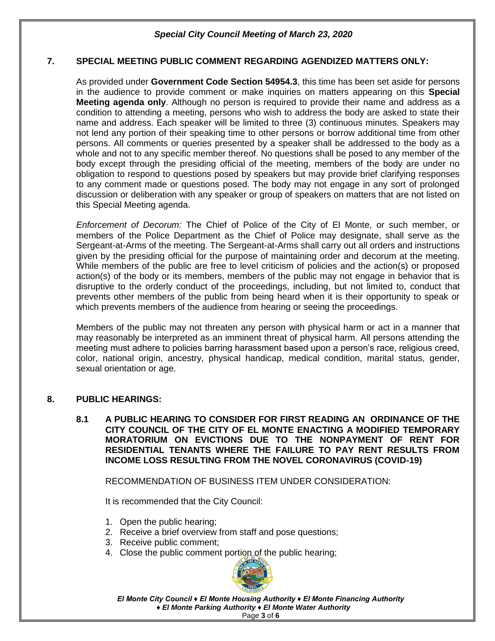#### **7. SPECIAL MEETING PUBLIC COMMENT REGARDING AGENDIZED MATTERS ONLY:**

As provided under **Government Code Section 54954.3**, this time has been set aside for persons in the audience to provide comment or make inquiries on matters appearing on this **Special Meeting agenda only**. Although no person is required to provide their name and address as a condition to attending a meeting, persons who wish to address the body are asked to state their name and address. Each speaker will be limited to three (3) continuous minutes. Speakers may not lend any portion of their speaking time to other persons or borrow additional time from other persons. All comments or queries presented by a speaker shall be addressed to the body as a whole and not to any specific member thereof. No questions shall be posed to any member of the body except through the presiding official of the meeting, members of the body are under no obligation to respond to questions posed by speakers but may provide brief clarifying responses to any comment made or questions posed. The body may not engage in any sort of prolonged discussion or deliberation with any speaker or group of speakers on matters that are not listed on this Special Meeting agenda.

*Enforcement of Decorum:* The Chief of Police of the City of El Monte, or such member, or members of the Police Department as the Chief of Police may designate, shall serve as the Sergeant-at-Arms of the meeting. The Sergeant-at-Arms shall carry out all orders and instructions given by the presiding official for the purpose of maintaining order and decorum at the meeting. While members of the public are free to level criticism of policies and the action(s) or proposed action(s) of the body or its members, members of the public may not engage in behavior that is disruptive to the orderly conduct of the proceedings, including, but not limited to, conduct that prevents other members of the public from being heard when it is their opportunity to speak or which prevents members of the audience from hearing or seeing the proceedings.

Members of the public may not threaten any person with physical harm or act in a manner that may reasonably be interpreted as an imminent threat of physical harm. All persons attending the meeting must adhere to policies barring harassment based upon a person's race, religious creed, color, national origin, ancestry, physical handicap, medical condition, marital status, gender, sexual orientation or age.

#### **8. PUBLIC HEARINGS:**

**8.1 A PUBLIC HEARING TO CONSIDER FOR FIRST READING AN ORDINANCE OF THE CITY COUNCIL OF THE CITY OF EL MONTE ENACTING A MODIFIED TEMPORARY MORATORIUM ON EVICTIONS DUE TO THE NONPAYMENT OF RENT FOR RESIDENTIAL TENANTS WHERE THE FAILURE TO PAY RENT RESULTS FROM INCOME LOSS RESULTING FROM THE NOVEL CORONAVIRUS (COVID-19)**

RECOMMENDATION OF BUSINESS ITEM UNDER CONSIDERATION:

It is recommended that the City Council:

- 1. Open the public hearing;
- 2. Receive a brief overview from staff and pose questions;
- 3. Receive public comment;
- 4. Close the public comment portion of the public hearing;



*El Monte City Council ♦ El Monte Housing Authority ♦ El Monte Financing Authority ♦ El Monte Parking Authority ♦ El Monte Water Authority* Page **3** of **6**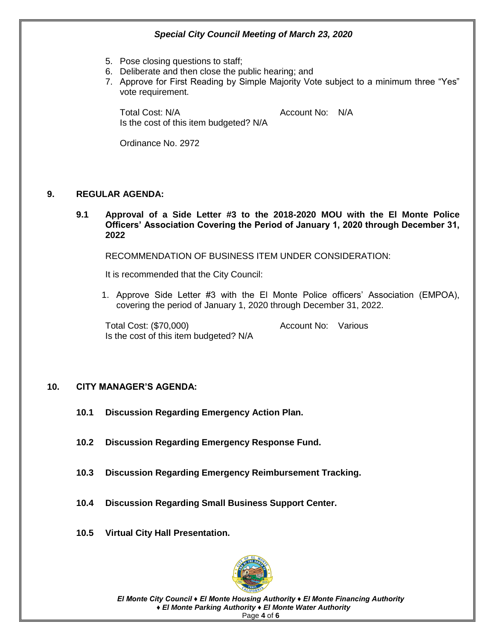- 5. Pose closing questions to staff;
- 6. Deliberate and then close the public hearing; and
- 7. Approve for First Reading by Simple Majority Vote subject to a minimum three "Yes" vote requirement.

Total Cost: N/A Account No: N/A Is the cost of this item budgeted? N/A

Ordinance No. 2972

#### **9. REGULAR AGENDA:**

**9.1 Approval of a Side Letter #3 to the 2018-2020 MOU with the El Monte Police Officers' Association Covering the Period of January 1, 2020 through December 31, 2022** 

RECOMMENDATION OF BUSINESS ITEM UNDER CONSIDERATION:

It is recommended that the City Council:

1. Approve Side Letter #3 with the El Monte Police officers' Association (EMPOA), covering the period of January 1, 2020 through December 31, 2022.

Total Cost: (\$70,000) Total Cost: (\$70,000) Is the cost of this item budgeted? N/A

#### **10. CITY MANAGER'S AGENDA:**

- **10.1 Discussion Regarding Emergency Action Plan.**
- **10.2 Discussion Regarding Emergency Response Fund.**
- **10.3 Discussion Regarding Emergency Reimbursement Tracking.**
- **10.4 Discussion Regarding Small Business Support Center.**
- **10.5 Virtual City Hall Presentation.**



*El Monte City Council ♦ El Monte Housing Authority ♦ El Monte Financing Authority ♦ El Monte Parking Authority ♦ El Monte Water Authority* Page **4** of **6**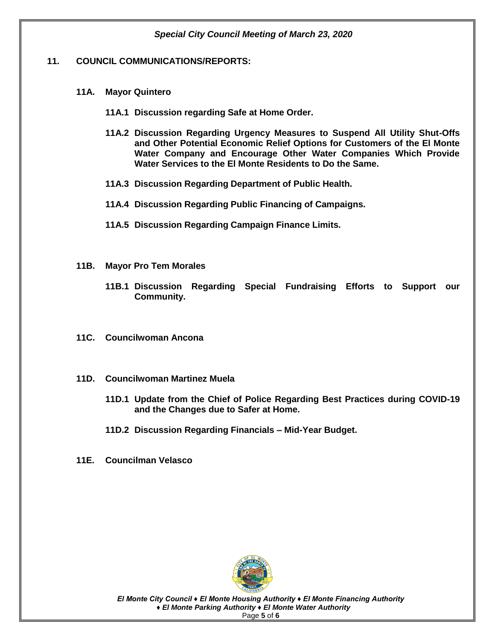#### **11. COUNCIL COMMUNICATIONS/REPORTS:**

- **11A. Mayor Quintero**
	- **11A.1 Discussion regarding Safe at Home Order.**
	- **11A.2 Discussion Regarding Urgency Measures to Suspend All Utility Shut-Offs and Other Potential Economic Relief Options for Customers of the El Monte Water Company and Encourage Other Water Companies Which Provide Water Services to the El Monte Residents to Do the Same.**
	- **11A.3 Discussion Regarding Department of Public Health.**
	- **11A.4 Discussion Regarding Public Financing of Campaigns.**
	- **11A.5 Discussion Regarding Campaign Finance Limits.**
- **11B. Mayor Pro Tem Morales**
	- **11B.1 Discussion Regarding Special Fundraising Efforts to Support our Community.**
- **11C. Councilwoman Ancona**
- **11D. Councilwoman Martinez Muela**
	- **11D.1 Update from the Chief of Police Regarding Best Practices during COVID-19 and the Changes due to Safer at Home.**
	- **11D.2 Discussion Regarding Financials – Mid-Year Budget.**
- **11E. Councilman Velasco**



*El Monte City Council ♦ El Monte Housing Authority ♦ El Monte Financing Authority ♦ El Monte Parking Authority ♦ El Monte Water Authority* Page **5** of **6**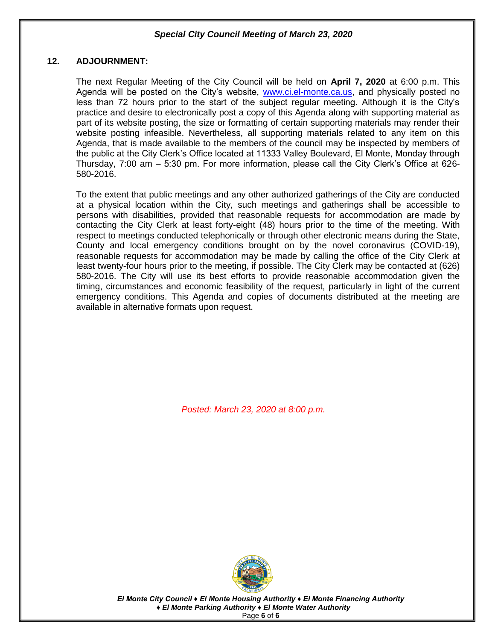#### **12. ADJOURNMENT:**

The next Regular Meeting of the City Council will be held on **April 7, 2020** at 6:00 p.m. This Agenda will be posted on the City's website, [www.ci.el-monte.ca.us,](http://www.ci.el-monte.ca.us/) and physically posted no less than 72 hours prior to the start of the subject regular meeting. Although it is the City's practice and desire to electronically post a copy of this Agenda along with supporting material as part of its website posting, the size or formatting of certain supporting materials may render their website posting infeasible. Nevertheless, all supporting materials related to any item on this Agenda, that is made available to the members of the council may be inspected by members of the public at the City Clerk's Office located at 11333 Valley Boulevard, El Monte, Monday through Thursday, 7:00 am – 5:30 pm. For more information, please call the City Clerk's Office at 626- 580-2016.

To the extent that public meetings and any other authorized gatherings of the City are conducted at a physical location within the City, such meetings and gatherings shall be accessible to persons with disabilities, provided that reasonable requests for accommodation are made by contacting the City Clerk at least forty-eight (48) hours prior to the time of the meeting. With respect to meetings conducted telephonically or through other electronic means during the State, County and local emergency conditions brought on by the novel coronavirus (COVID-19), reasonable requests for accommodation may be made by calling the office of the City Clerk at least twenty-four hours prior to the meeting, if possible. The City Clerk may be contacted at (626) 580-2016. The City will use its best efforts to provide reasonable accommodation given the timing, circumstances and economic feasibility of the request, particularly in light of the current emergency conditions. This Agenda and copies of documents distributed at the meeting are available in alternative formats upon request.

*Posted: March 23, 2020 at 8:00 p.m.*



*El Monte City Council ♦ El Monte Housing Authority ♦ El Monte Financing Authority ♦ El Monte Parking Authority ♦ El Monte Water Authority* Page **6** of **6**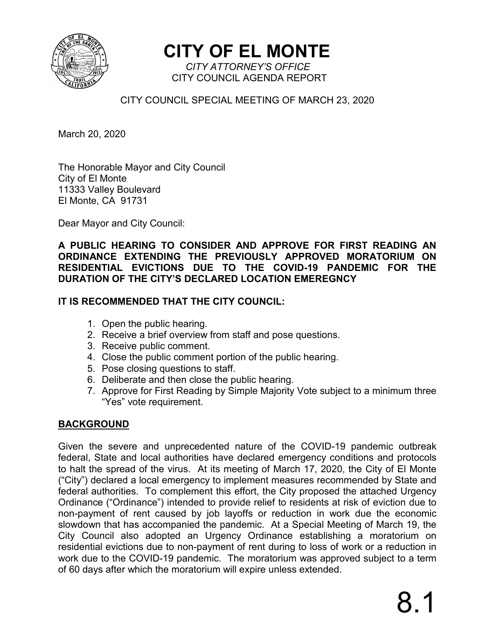

**CITY OF EL MONTE** *CITY ATTORNEY'S OFFICE*

CITY COUNCIL AGENDA REPORT

CITY COUNCIL SPECIAL MEETING OF MARCH 23, 2020

March 20, 2020

The Honorable Mayor and City Council City of El Monte 11333 Valley Boulevard El Monte, CA 91731

Dear Mayor and City Council:

**A PUBLIC HEARING TO CONSIDER AND APPROVE FOR FIRST READING AN ORDINANCE EXTENDING THE PREVIOUSLY APPROVED MORATORIUM ON RESIDENTIAL EVICTIONS DUE TO THE COVID-19 PANDEMIC FOR THE DURATION OF THE CITY'S DECLARED LOCATION EMEREGNCY** 

## **IT IS RECOMMENDED THAT THE CITY COUNCIL:**

- 1. Open the public hearing.
- 2. Receive a brief overview from staff and pose questions.
- 3. Receive public comment.
- 4. Close the public comment portion of the public hearing.
- 5. Pose closing questions to staff.
- 6. Deliberate and then close the public hearing.
- 7. Approve for First Reading by Simple Majority Vote subject to a minimum three "Yes" vote requirement.

## **BACKGROUND**

Given the severe and unprecedented nature of the COVID-19 pandemic outbreak federal, State and local authorities have declared emergency conditions and protocols to halt the spread of the virus. At its meeting of March 17, 2020, the City of El Monte ("City") declared a local emergency to implement measures recommended by State and federal authorities. To complement this effort, the City proposed the attached Urgency Ordinance ("Ordinance") intended to provide relief to residents at risk of eviction due to non-payment of rent caused by job layoffs or reduction in work due the economic slowdown that has accompanied the pandemic. At a Special Meeting of March 19, the City Council also adopted an Urgency Ordinance establishing a moratorium on residential evictions due to non-payment of rent during to loss of work or a reduction in work due to the COVID-19 pandemic. The moratorium was approved subject to a term of 60 days after which the moratorium will expire unless extended.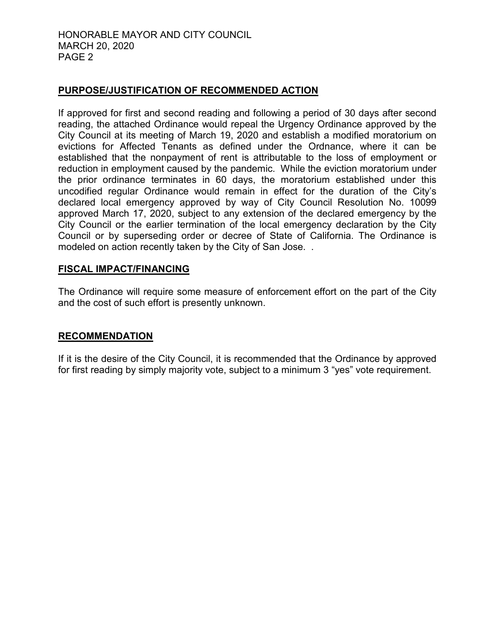#### HONORABLE MAYOR AND CITY COUNCIL MARCH 20, 2020 PAGE 2

#### **PURPOSE/JUSTIFICATION OF RECOMMENDED ACTION**

If approved for first and second reading and following a period of 30 days after second reading, the attached Ordinance would repeal the Urgency Ordinance approved by the City Council at its meeting of March 19, 2020 and establish a modified moratorium on evictions for Affected Tenants as defined under the Ordnance, where it can be established that the nonpayment of rent is attributable to the loss of employment or reduction in employment caused by the pandemic. While the eviction moratorium under the prior ordinance terminates in 60 days, the moratorium established under this uncodified regular Ordinance would remain in effect for the duration of the City's declared local emergency approved by way of City Council Resolution No. 10099 approved March 17, 2020, subject to any extension of the declared emergency by the City Council or the earlier termination of the local emergency declaration by the City Council or by superseding order or decree of State of California. The Ordinance is modeled on action recently taken by the City of San Jose. .

#### **FISCAL IMPACT/FINANCING**

The Ordinance will require some measure of enforcement effort on the part of the City and the cost of such effort is presently unknown.

#### **RECOMMENDATION**

If it is the desire of the City Council, it is recommended that the Ordinance by approved for first reading by simply majority vote, subject to a minimum 3 "yes" vote requirement.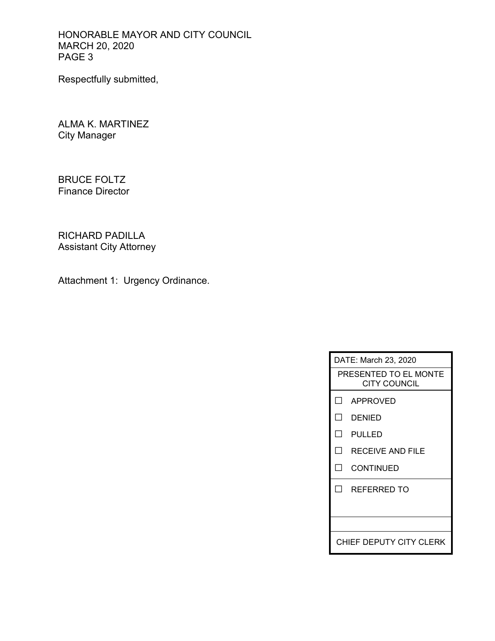HONORABLE MAYOR AND CITY COUNCIL MARCH 20, 2020 PAGE 3

Respectfully submitted,

ALMA K. MARTINEZ City Manager

BRUCE FOLTZ Finance Director

RICHARD PADILLA Assistant City Attorney

Attachment 1: Urgency Ordinance.

| DATE: March 23, 2020                         |                  |  |  |
|----------------------------------------------|------------------|--|--|
| PRESENTED TO EL MONTE<br><b>CITY COUNCIL</b> |                  |  |  |
|                                              | LI APPROVED      |  |  |
| П                                            | DENIED           |  |  |
| ΙI                                           | PULLED           |  |  |
| ΙI                                           | RECEIVE AND FILE |  |  |
| - 1                                          | CONTINUED        |  |  |
| $\mathsf{L}$                                 | REFERRED TO      |  |  |
|                                              |                  |  |  |
|                                              |                  |  |  |
| CHIEF DEPUTY CITY CLERK                      |                  |  |  |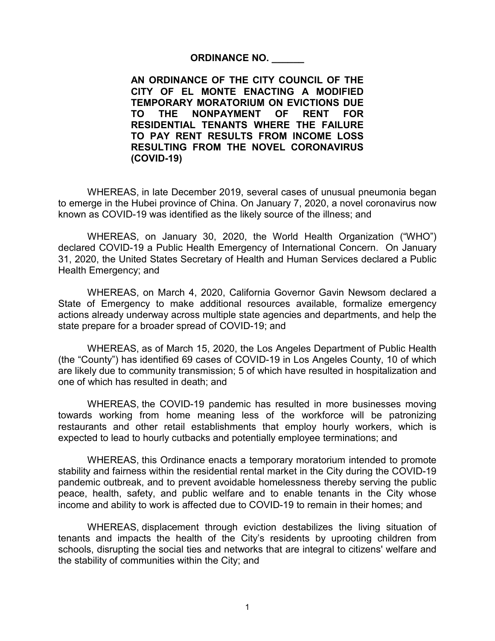#### **ORDINANCE NO. \_\_\_\_\_\_**

**AN ORDINANCE OF THE CITY COUNCIL OF THE CITY OF EL MONTE ENACTING A MODIFIED TEMPORARY MORATORIUM ON EVICTIONS DUE TO THE NONPAYMENT OF RENT FOR RESIDENTIAL TENANTS WHERE THE FAILURE TO PAY RENT RESULTS FROM INCOME LOSS RESULTING FROM THE NOVEL CORONAVIRUS (COVID-19)**

WHEREAS, in late December 2019, several cases of unusual pneumonia began to emerge in the Hubei province of China. On January 7, 2020, a novel coronavirus now known as COVID-19 was identified as the likely source of the illness; and

WHEREAS, on January 30, 2020, the World Health Organization ("WHO") declared COVID-19 a Public Health Emergency of International Concern. On January 31, 2020, the United States Secretary of Health and Human Services declared a Public Health Emergency; and

WHEREAS, on March 4, 2020, California Governor Gavin Newsom declared a State of Emergency to make additional resources available, formalize emergency actions already underway across multiple state agencies and departments, and help the state prepare for a broader spread of COVID-19; and

WHEREAS, as of March 15, 2020, the Los Angeles Department of Public Health (the "County") has identified 69 cases of COVID-19 in Los Angeles County, 10 of which are likely due to community transmission; 5 of which have resulted in hospitalization and one of which has resulted in death; and

WHEREAS, the COVID-19 pandemic has resulted in more businesses moving towards working from home meaning less of the workforce will be patronizing restaurants and other retail establishments that employ hourly workers, which is expected to lead to hourly cutbacks and potentially employee terminations; and

WHEREAS, this Ordinance enacts a temporary moratorium intended to promote stability and fairness within the residential rental market in the City during the COVID-19 pandemic outbreak, and to prevent avoidable homelessness thereby serving the public peace, health, safety, and public welfare and to enable tenants in the City whose income and ability to work is affected due to COVID-19 to remain in their homes; and

WHEREAS, displacement through eviction destabilizes the living situation of tenants and impacts the health of the City's residents by uprooting children from schools, disrupting the social ties and networks that are integral to citizens' welfare and the stability of communities within the City; and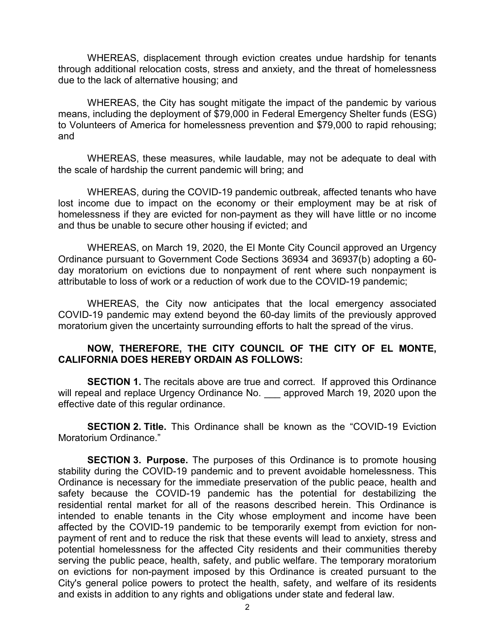WHEREAS, displacement through eviction creates undue hardship for tenants through additional relocation costs, stress and anxiety, and the threat of homelessness due to the lack of alternative housing; and

WHEREAS, the City has sought mitigate the impact of the pandemic by various means, including the deployment of \$79,000 in Federal Emergency Shelter funds (ESG) to Volunteers of America for homelessness prevention and \$79,000 to rapid rehousing; and

WHEREAS, these measures, while laudable, may not be adequate to deal with the scale of hardship the current pandemic will bring; and

WHEREAS, during the COVID-19 pandemic outbreak, affected tenants who have lost income due to impact on the economy or their employment may be at risk of homelessness if they are evicted for non-payment as they will have little or no income and thus be unable to secure other housing if evicted; and

WHEREAS, on March 19, 2020, the El Monte City Council approved an Urgency Ordinance pursuant to Government Code Sections 36934 and 36937(b) adopting a 60 day moratorium on evictions due to nonpayment of rent where such nonpayment is attributable to loss of work or a reduction of work due to the COVID-19 pandemic;

WHEREAS, the City now anticipates that the local emergency associated COVID-19 pandemic may extend beyond the 60-day limits of the previously approved moratorium given the uncertainty surrounding efforts to halt the spread of the virus.

#### **NOW, THEREFORE, THE CITY COUNCIL OF THE CITY OF EL MONTE, CALIFORNIA DOES HEREBY ORDAIN AS FOLLOWS:**

**SECTION 1.** The recitals above are true and correct. If approved this Ordinance will repeal and replace Urgency Ordinance No. \_\_\_ approved March 19, 2020 upon the effective date of this regular ordinance.

**SECTION 2. Title.** This Ordinance shall be known as the "COVID-19 Eviction Moratorium Ordinance."

**SECTION 3. Purpose.** The purposes of this Ordinance is to promote housing stability during the COVID-19 pandemic and to prevent avoidable homelessness. This Ordinance is necessary for the immediate preservation of the public peace, health and safety because the COVID-19 pandemic has the potential for destabilizing the residential rental market for all of the reasons described herein. This Ordinance is intended to enable tenants in the City whose employment and income have been affected by the COVID-19 pandemic to be temporarily exempt from eviction for nonpayment of rent and to reduce the risk that these events will lead to anxiety, stress and potential homelessness for the affected City residents and their communities thereby serving the public peace, health, safety, and public welfare. The temporary moratorium on evictions for non-payment imposed by this Ordinance is created pursuant to the City's general police powers to protect the health, safety, and welfare of its residents and exists in addition to any rights and obligations under state and federal law.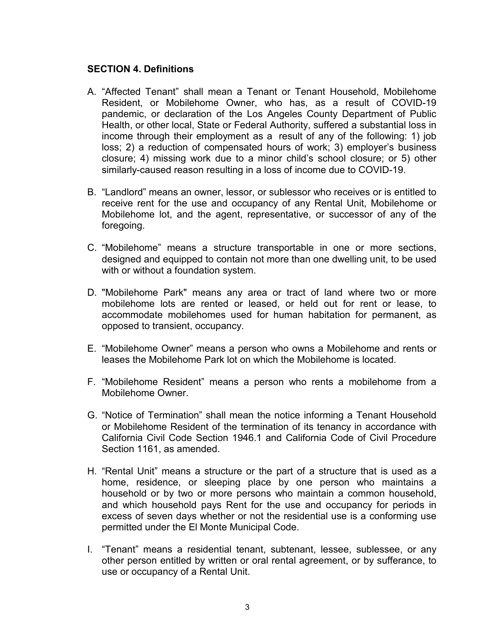#### **SECTION 4. Definitions**

- A. "Affected Tenant" shall mean a Tenant or Tenant Household, Mobilehome Resident, or Mobilehome Owner, who has, as a result of COVID-19 pandemic, or declaration of the Los Angeles County Department of Public Health, or other local, State or Federal Authority, suffered a substantial loss in income through their employment as a result of any of the following: 1) job loss; 2) a reduction of compensated hours of work; 3) employer's business closure; 4) missing work due to a minor child's school closure; or 5) other similarly-caused reason resulting in a loss of income due to COVID-19.
- B. "Landlord" means an owner, lessor, or sublessor who receives or is entitled to receive rent for the use and occupancy of any Rental Unit, Mobilehome or Mobilehome lot, and the agent, representative, or successor of any of the foregoing.
- C. "Mobilehome" means a structure transportable in one or more sections, designed and equipped to contain not more than one dwelling unit, to be used with or without a foundation system.
- D. "Mobilehome Park" means any area or tract of land where two or more mobilehome lots are rented or leased, or held out for rent or lease, to accommodate mobilehomes used for human habitation for permanent, as opposed to transient, occupancy.
- E. "Mobilehome Owner" means a person who owns a Mobilehome and rents or leases the Mobilehome Park lot on which the Mobilehome is located.
- F. "Mobilehome Resident" means a person who rents a mobilehome from a Mobilehome Owner.
- G. "Notice of Termination" shall mean the notice informing a Tenant Household or Mobilehome Resident of the termination of its tenancy in accordance with California Civil Code Section 1946.1 and California Code of Civil Procedure Section 1161, as amended.
- H. "Rental Unit" means a structure or the part of a structure that is used as a home, residence, or sleeping place by one person who maintains a household or by two or more persons who maintain a common household, and which household pays Rent for the use and occupancy for periods in excess of seven days whether or not the residential use is a conforming use permitted under the El Monte Municipal Code.
- I. "Tenant" means a residential tenant, subtenant, lessee, sublessee, or any other person entitled by written or oral rental agreement, or by sufferance, to use or occupancy of a Rental Unit.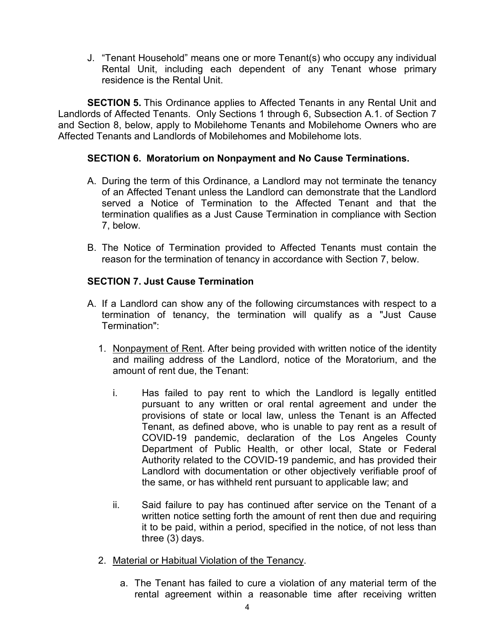J. "Tenant Household" means one or more Tenant(s) who occupy any individual Rental Unit, including each dependent of any Tenant whose primary residence is the Rental Unit.

**SECTION 5.** This Ordinance applies to Affected Tenants in any Rental Unit and Landlords of Affected Tenants. Only Sections 1 through 6, Subsection A.1. of Section 7 and Section 8, below, apply to Mobilehome Tenants and Mobilehome Owners who are Affected Tenants and Landlords of Mobilehomes and Mobilehome lots.

## **SECTION 6. Moratorium on Nonpayment and No Cause Terminations.**

- A. During the term of this Ordinance, a Landlord may not terminate the tenancy of an Affected Tenant unless the Landlord can demonstrate that the Landlord served a Notice of Termination to the Affected Tenant and that the termination qualifies as a Just Cause Termination in compliance with Section 7, below.
- B. The Notice of Termination provided to Affected Tenants must contain the reason for the termination of tenancy in accordance with Section 7, below.

## **SECTION 7. Just Cause Termination**

- A. If a Landlord can show any of the following circumstances with respect to a termination of tenancy, the termination will qualify as a "Just Cause Termination":
	- 1. Nonpayment of Rent. After being provided with written notice of the identity and mailing address of the Landlord, notice of the Moratorium, and the amount of rent due, the Tenant:
		- i. Has failed to pay rent to which the Landlord is legally entitled pursuant to any written or oral rental agreement and under the provisions of state or local law, unless the Tenant is an Affected Tenant, as defined above, who is unable to pay rent as a result of COVID-19 pandemic, declaration of the Los Angeles County Department of Public Health, or other local, State or Federal Authority related to the COVID-19 pandemic, and has provided their Landlord with documentation or other objectively verifiable proof of the same, or has withheld rent pursuant to applicable law; and
		- ii. Said failure to pay has continued after service on the Tenant of a written notice setting forth the amount of rent then due and requiring it to be paid, within a period, specified in the notice, of not less than three (3) days.
	- 2. Material or Habitual Violation of the Tenancy.
		- a. The Tenant has failed to cure a violation of any material term of the rental agreement within a reasonable time after receiving written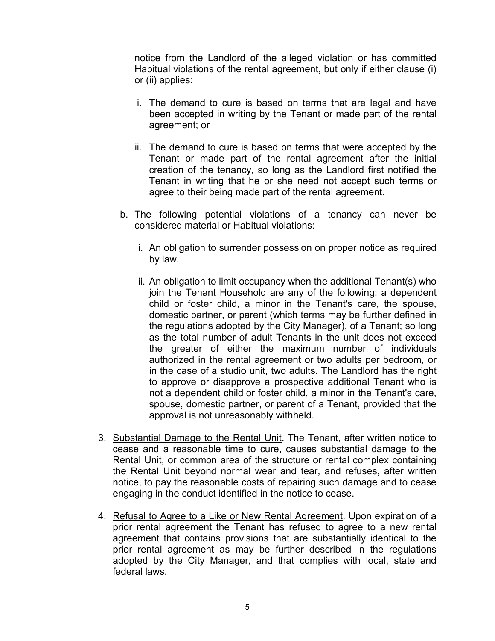notice from the Landlord of the alleged violation or has committed Habitual violations of the rental agreement, but only if either clause (i) or (ii) applies:

- i. The demand to cure is based on terms that are legal and have been accepted in writing by the Tenant or made part of the rental agreement; or
- ii. The demand to cure is based on terms that were accepted by the Tenant or made part of the rental agreement after the initial creation of the tenancy, so long as the Landlord first notified the Tenant in writing that he or she need not accept such terms or agree to their being made part of the rental agreement.
- b. The following potential violations of a tenancy can never be considered material or Habitual violations:
	- i. An obligation to surrender possession on proper notice as required by law.
	- ii. An obligation to limit occupancy when the additional Tenant(s) who join the Tenant Household are any of the following: a dependent child or foster child, a minor in the Tenant's care, the spouse, domestic partner, or parent (which terms may be further defined in the regulations adopted by the City Manager), of a Tenant; so long as the total number of adult Tenants in the unit does not exceed the greater of either the maximum number of individuals authorized in the rental agreement or two adults per bedroom, or in the case of a studio unit, two adults. The Landlord has the right to approve or disapprove a prospective additional Tenant who is not a dependent child or foster child, a minor in the Tenant's care, spouse, domestic partner, or parent of a Tenant, provided that the approval is not unreasonably withheld.
- 3. Substantial Damage to the Rental Unit. The Tenant, after written notice to cease and a reasonable time to cure, causes substantial damage to the Rental Unit, or common area of the structure or rental complex containing the Rental Unit beyond normal wear and tear, and refuses, after written notice, to pay the reasonable costs of repairing such damage and to cease engaging in the conduct identified in the notice to cease.
- 4. Refusal to Agree to a Like or New Rental Agreement. Upon expiration of a prior rental agreement the Tenant has refused to agree to a new rental agreement that contains provisions that are substantially identical to the prior rental agreement as may be further described in the regulations adopted by the City Manager, and that complies with local, state and federal laws.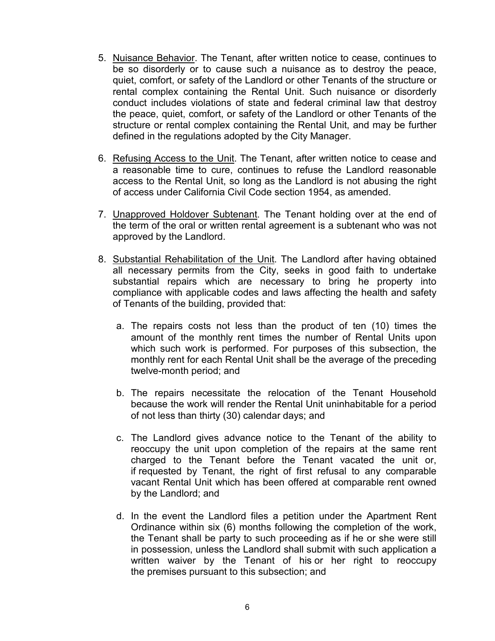- 5. Nuisance Behavior. The Tenant, after written notice to cease, continues to be so disorderly or to cause such a nuisance as to destroy the peace, quiet, comfort, or safety of the Landlord or other Tenants of the structure or rental complex containing the Rental Unit. Such nuisance or disorderly conduct includes violations of state and federal criminal law that destroy the peace, quiet, comfort, or safety of the Landlord or other Tenants of the structure or rental complex containing the Rental Unit, and may be further defined in the regulations adopted by the City Manager.
- 6. Refusing Access to the Unit. The Tenant, after written notice to cease and a reasonable time to cure, continues to refuse the Landlord reasonable access to the Rental Unit, so long as the Landlord is not abusing the right of access under California Civil Code section 1954, as amended.
- 7. Unapproved Holdover Subtenant. The Tenant holding over at the end of the term of the oral or written rental agreement is a subtenant who was not approved by the Landlord.
- 8. Substantial Rehabilitation of the Unit. The Landlord after having obtained all necessary permits from the City, seeks in good faith to undertake substantial repairs which are necessary to bring he property into compliance with applicable codes and laws affecting the health and safety of Tenants of the building, provided that:
	- a. The repairs costs not less than the product of ten (10) times the amount of the monthly rent times the number of Rental Units upon which such work is performed. For purposes of this subsection, the monthly rent for each Rental Unit shall be the average of the preceding twelve-month period; and
	- b. The repairs necessitate the relocation of the Tenant Household because the work will render the Rental Unit uninhabitable for a period of not less than thirty (30) calendar days; and
	- c. The Landlord gives advance notice to the Tenant of the ability to reoccupy the unit upon completion of the repairs at the same rent charged to the Tenant before the Tenant vacated the unit or, if requested by Tenant, the right of first refusal to any comparable vacant Rental Unit which has been offered at comparable rent owned by the Landlord; and
	- d. In the event the Landlord files a petition under the Apartment Rent Ordinance within six (6) months following the completion of the work, the Tenant shall be party to such proceeding as if he or she were still in possession, unless the Landlord shall submit with such application a written waiver by the Tenant of his or her right to reoccupy the premises pursuant to this subsection; and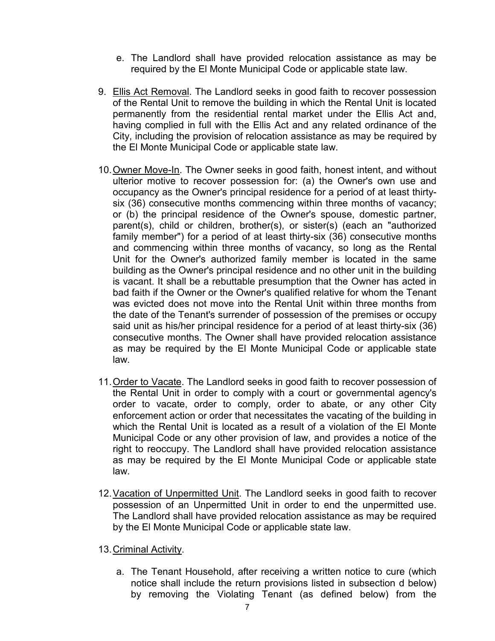- e. The Landlord shall have provided relocation assistance as may be required by the El Monte Municipal Code or applicable state law.
- 9. Ellis Act Removal. The Landlord seeks in good faith to recover possession of the Rental Unit to remove the building in which the Rental Unit is located permanently from the residential rental market under the Ellis Act and, having complied in full with the Ellis Act and any related ordinance of the City, including the provision of relocation assistance as may be required by the El Monte Municipal Code or applicable state law.
- 10.Owner Move-In. The Owner seeks in good faith, honest intent, and without ulterior motive to recover possession for: (a) the Owner's own use and occupancy as the Owner's principal residence for a period of at least thirtysix (36) consecutive months commencing within three months of vacancy; or (b) the principal residence of the Owner's spouse, domestic partner, parent(s), child or children, brother(s), or sister(s) (each an "authorized family member") for a period of at least thirty-six (36) consecutive months and commencing within three months of vacancy, so long as the Rental Unit for the Owner's authorized family member is located in the same building as the Owner's principal residence and no other unit in the building is vacant. It shall be a rebuttable presumption that the Owner has acted in bad faith if the Owner or the Owner's qualified relative for whom the Tenant was evicted does not move into the Rental Unit within three months from the date of the Tenant's surrender of possession of the premises or occupy said unit as his/her principal residence for a period of at least thirty-six (36) consecutive months. The Owner shall have provided relocation assistance as may be required by the El Monte Municipal Code or applicable state law.
- 11.Order to Vacate. The Landlord seeks in good faith to recover possession of the Rental Unit in order to comply with a court or governmental agency's order to vacate, order to comply, order to abate, or any other City enforcement action or order that necessitates the vacating of the building in which the Rental Unit is located as a result of a violation of the El Monte Municipal Code or any other provision of law, and provides a notice of the right to reoccupy. The Landlord shall have provided relocation assistance as may be required by the El Monte Municipal Code or applicable state law.
- 12. Vacation of Unpermitted Unit. The Landlord seeks in good faith to recover possession of an Unpermitted Unit in order to end the unpermitted use. The Landlord shall have provided relocation assistance as may be required by the El Monte Municipal Code or applicable state law.
- 13.Criminal Activity.
	- a. The Tenant Household, after receiving a written notice to cure (which notice shall include the return provisions listed in subsection d below) by removing the Violating Tenant (as defined below) from the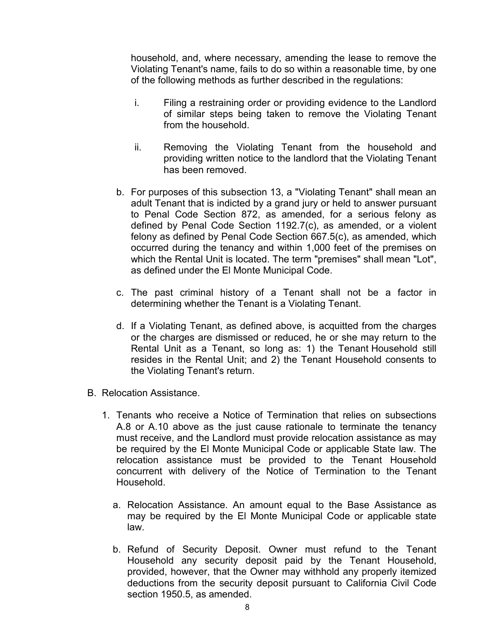household, and, where necessary, amending the lease to remove the Violating Tenant's name, fails to do so within a reasonable time, by one of the following methods as further described in the regulations:

- i. Filing a restraining order or providing evidence to the Landlord of similar steps being taken to remove the Violating Tenant from the household.
- ii. Removing the Violating Tenant from the household and providing written notice to the landlord that the Violating Tenant has been removed.
- b. For purposes of this subsection 13, a "Violating Tenant" shall mean an adult Tenant that is indicted by a grand jury or held to answer pursuant to Penal Code Section 872, as amended, for a serious felony as defined by Penal Code Section 1192.7(c), as amended, or a violent felony as defined by Penal Code Section 667.5(c), as amended, which occurred during the tenancy and within 1,000 feet of the premises on which the Rental Unit is located. The term "premises" shall mean "Lot", as defined under the El Monte Municipal Code.
- c. The past criminal history of a Tenant shall not be a factor in determining whether the Tenant is a Violating Tenant.
- d. If a Violating Tenant, as defined above, is acquitted from the charges or the charges are dismissed or reduced, he or she may return to the Rental Unit as a Tenant, so long as: 1) the Tenant Household still resides in the Rental Unit; and 2) the Tenant Household consents to the Violating Tenant's return.
- B. Relocation Assistance.
	- 1. Tenants who receive a Notice of Termination that relies on subsections A.8 or A.10 above as the just cause rationale to terminate the tenancy must receive, and the Landlord must provide relocation assistance as may be required by the El Monte Municipal Code or applicable State law. The relocation assistance must be provided to the Tenant Household concurrent with delivery of the Notice of Termination to the Tenant Household.
		- a. Relocation Assistance. An amount equal to the Base Assistance as may be required by the El Monte Municipal Code or applicable state law.
		- b. Refund of Security Deposit. Owner must refund to the Tenant Household any security deposit paid by the Tenant Household, provided, however, that the Owner may withhold any properly itemized deductions from the security deposit pursuant to California Civil Code section 1950.5, as amended.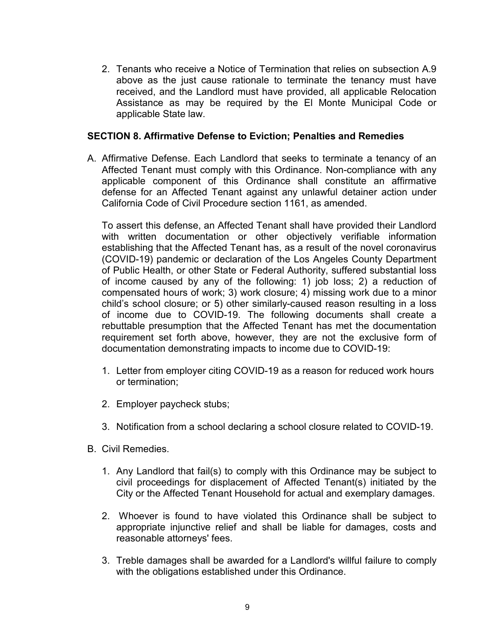2. Tenants who receive a Notice of Termination that relies on subsection A.9 above as the just cause rationale to terminate the tenancy must have received, and the Landlord must have provided, all applicable Relocation Assistance as may be required by the El Monte Municipal Code or applicable State law.

#### **SECTION 8. Affirmative Defense to Eviction; Penalties and Remedies**

A. Affirmative Defense. Each Landlord that seeks to terminate a tenancy of an Affected Tenant must comply with this Ordinance. Non-compliance with any applicable component of this Ordinance shall constitute an affirmative defense for an Affected Tenant against any unlawful detainer action under California Code of Civil Procedure section 1161, as amended.

To assert this defense, an Affected Tenant shall have provided their Landlord with written documentation or other objectively verifiable information establishing that the Affected Tenant has, as a result of the novel coronavirus (COVID-19) pandemic or declaration of the Los Angeles County Department of Public Health, or other State or Federal Authority, suffered substantial loss of income caused by any of the following: 1) job loss; 2) a reduction of compensated hours of work; 3) work closure; 4) missing work due to a minor child's school closure; or 5) other similarly-caused reason resulting in a loss of income due to COVID-19. The following documents shall create a rebuttable presumption that the Affected Tenant has met the documentation requirement set forth above, however, they are not the exclusive form of documentation demonstrating impacts to income due to COVID-19:

- 1. Letter from employer citing COVID-19 as a reason for reduced work hours or termination;
- 2. Employer paycheck stubs;
- 3. Notification from a school declaring a school closure related to COVID-19.
- B. Civil Remedies.
	- 1. Any Landlord that fail(s) to comply with this Ordinance may be subject to civil proceedings for displacement of Affected Tenant(s) initiated by the City or the Affected Tenant Household for actual and exemplary damages.
	- 2. Whoever is found to have violated this Ordinance shall be subject to appropriate injunctive relief and shall be liable for damages, costs and reasonable attorneys' fees.
	- 3. Treble damages shall be awarded for a Landlord's willful failure to comply with the obligations established under this Ordinance.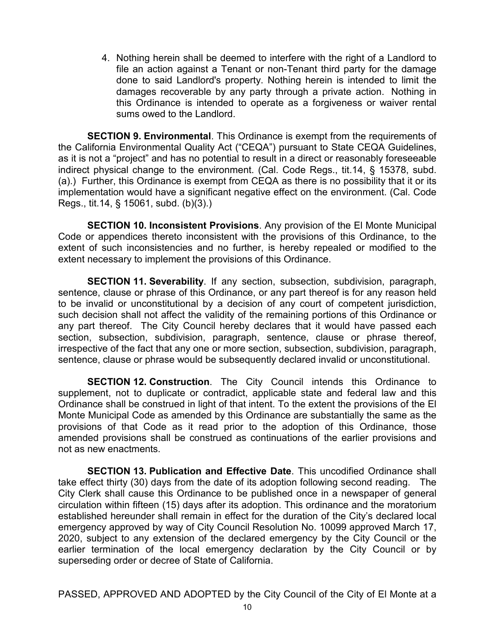4. Nothing herein shall be deemed to interfere with the right of a Landlord to file an action against a Tenant or non-Tenant third party for the damage done to said Landlord's property. Nothing herein is intended to limit the damages recoverable by any party through a private action. Nothing in this Ordinance is intended to operate as a forgiveness or waiver rental sums owed to the Landlord.

**SECTION 9. Environmental**. This Ordinance is exempt from the requirements of the California Environmental Quality Act ("CEQA") pursuant to State CEQA Guidelines, as it is not a "project" and has no potential to result in a direct or reasonably foreseeable indirect physical change to the environment. (Cal. Code Regs., tit.14, § 15378, subd. (a).) Further, this Ordinance is exempt from CEQA as there is no possibility that it or its implementation would have a significant negative effect on the environment. (Cal. Code Regs., tit.14, § 15061, subd. (b)(3).)

**SECTION 10. Inconsistent Provisions**. Any provision of the El Monte Municipal Code or appendices thereto inconsistent with the provisions of this Ordinance, to the extent of such inconsistencies and no further, is hereby repealed or modified to the extent necessary to implement the provisions of this Ordinance.

**SECTION 11. Severability**. If any section, subsection, subdivision, paragraph, sentence, clause or phrase of this Ordinance, or any part thereof is for any reason held to be invalid or unconstitutional by a decision of any court of competent jurisdiction, such decision shall not affect the validity of the remaining portions of this Ordinance or any part thereof. The City Council hereby declares that it would have passed each section, subsection, subdivision, paragraph, sentence, clause or phrase thereof, irrespective of the fact that any one or more section, subsection, subdivision, paragraph, sentence, clause or phrase would be subsequently declared invalid or unconstitutional.

**SECTION 12. Construction**. The City Council intends this Ordinance to supplement, not to duplicate or contradict, applicable state and federal law and this Ordinance shall be construed in light of that intent. To the extent the provisions of the El Monte Municipal Code as amended by this Ordinance are substantially the same as the provisions of that Code as it read prior to the adoption of this Ordinance, those amended provisions shall be construed as continuations of the earlier provisions and not as new enactments.

**SECTION 13. Publication and Effective Date**. This uncodified Ordinance shall take effect thirty (30) days from the date of its adoption following second reading. The City Clerk shall cause this Ordinance to be published once in a newspaper of general circulation within fifteen (15) days after its adoption. This ordinance and the moratorium established hereunder shall remain in effect for the duration of the City's declared local emergency approved by way of City Council Resolution No. 10099 approved March 17, 2020, subject to any extension of the declared emergency by the City Council or the earlier termination of the local emergency declaration by the City Council or by superseding order or decree of State of California.

PASSED, APPROVED AND ADOPTED by the City Council of the City of El Monte at a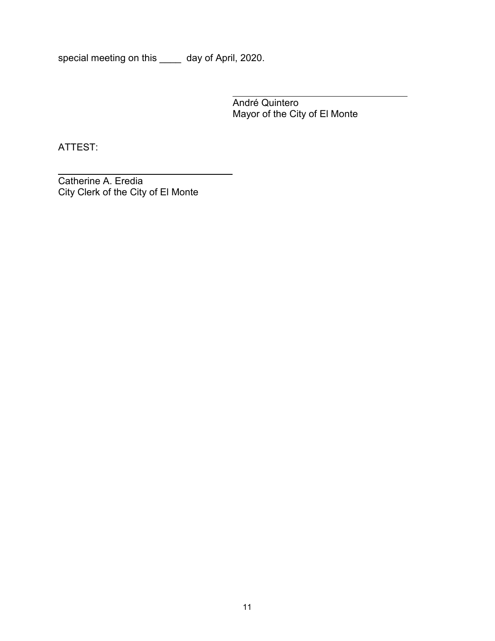special meeting on this \_\_\_\_ day of April, 2020.

André Quintero Mayor of the City of El Monte

ATTEST:

Catherine A. Eredia City Clerk of the City of El Monte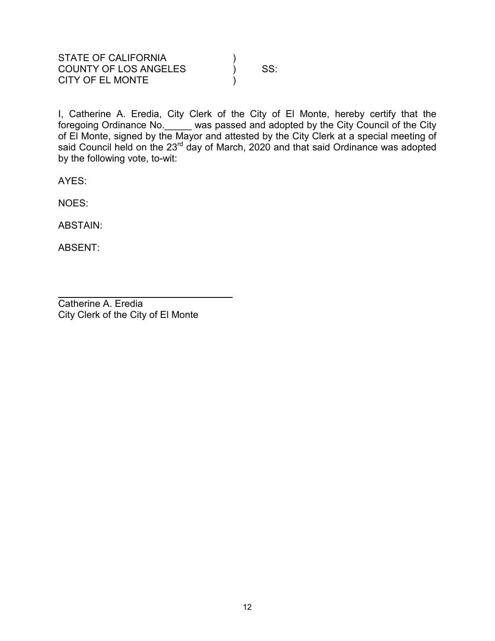| STATE OF CALIFORNIA          |     |
|------------------------------|-----|
| <b>COUNTY OF LOS ANGELES</b> | SS: |
| <b>CITY OF EL MONTE</b>      |     |

I, Catherine A. Eredia, City Clerk of the City of El Monte, hereby certify that the foregoing Ordinance No.\_\_\_\_\_ was passed and adopted by the City Council of the City of El Monte, signed by the Mayor and attested by the City Clerk at a special meeting of said Council held on the 23<sup>rd</sup> day of March, 2020 and that said Ordinance was adopted by the following vote, to-wit:

AYES:

NOES:

ABSTAIN:

ABSENT:

Catherine A. Eredia City Clerk of the City of El Monte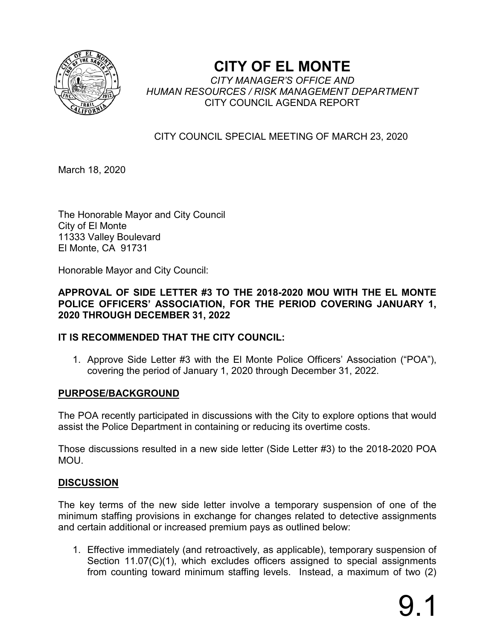

## **CITY OF EL MONTE**

*CITY MANAGER'S OFFICE AND HUMAN RESOURCES / RISK MANAGEMENT DEPARTMENT* CITY COUNCIL AGENDA REPORT

## CITY COUNCIL SPECIAL MEETING OF MARCH 23, 2020

March 18, 2020

The Honorable Mayor and City Council City of El Monte 11333 Valley Boulevard El Monte, CA 91731

Honorable Mayor and City Council:

## **APPROVAL OF SIDE LETTER #3 TO THE 2018-2020 MOU WITH THE EL MONTE POLICE OFFICERS' ASSOCIATION, FOR THE PERIOD COVERING JANUARY 1, 2020 THROUGH DECEMBER 31, 2022**

## **IT IS RECOMMENDED THAT THE CITY COUNCIL:**

1. Approve Side Letter #3 with the El Monte Police Officers' Association ("POA"), covering the period of January 1, 2020 through December 31, 2022.

## **PURPOSE/BACKGROUND**

The POA recently participated in discussions with the City to explore options that would assist the Police Department in containing or reducing its overtime costs.

Those discussions resulted in a new side letter (Side Letter #3) to the 2018-2020 POA MOU.

## **DISCUSSION**

The key terms of the new side letter involve a temporary suspension of one of the minimum staffing provisions in exchange for changes related to detective assignments and certain additional or increased premium pays as outlined below:

1. Effective immediately (and retroactively, as applicable), temporary suspension of Section 11.07(C)(1), which excludes officers assigned to special assignments from counting toward minimum staffing levels. Instead, a maximum of two (2)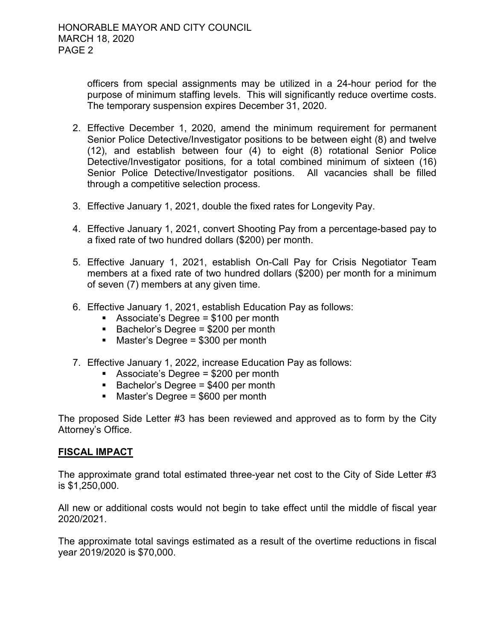officers from special assignments may be utilized in a 24-hour period for the purpose of minimum staffing levels. This will significantly reduce overtime costs. The temporary suspension expires December 31, 2020.

- 2. Effective December 1, 2020, amend the minimum requirement for permanent Senior Police Detective/Investigator positions to be between eight (8) and twelve (12), and establish between four (4) to eight (8) rotational Senior Police Detective/Investigator positions, for a total combined minimum of sixteen (16) Senior Police Detective/Investigator positions. All vacancies shall be filled through a competitive selection process.
- 3. Effective January 1, 2021, double the fixed rates for Longevity Pay.
- 4. Effective January 1, 2021, convert Shooting Pay from a percentage-based pay to a fixed rate of two hundred dollars (\$200) per month.
- 5. Effective January 1, 2021, establish On-Call Pay for Crisis Negotiator Team members at a fixed rate of two hundred dollars (\$200) per month for a minimum of seven (7) members at any given time.
- 6. Effective January 1, 2021, establish Education Pay as follows:
	- Associate's Degree = \$100 per month
	- $\blacksquare$  Bachelor's Degree = \$200 per month
	- Master's Degree = \$300 per month
- 7. Effective January 1, 2022, increase Education Pay as follows:
	- Associate's Degree = \$200 per month
	- $\blacksquare$  Bachelor's Degree = \$400 per month
	- $\blacksquare$  Master's Degree = \$600 per month

The proposed Side Letter #3 has been reviewed and approved as to form by the City Attorney's Office.

#### **FISCAL IMPACT**

The approximate grand total estimated three-year net cost to the City of Side Letter #3 is \$1,250,000.

All new or additional costs would not begin to take effect until the middle of fiscal year 2020/2021.

The approximate total savings estimated as a result of the overtime reductions in fiscal year 2019/2020 is \$70,000.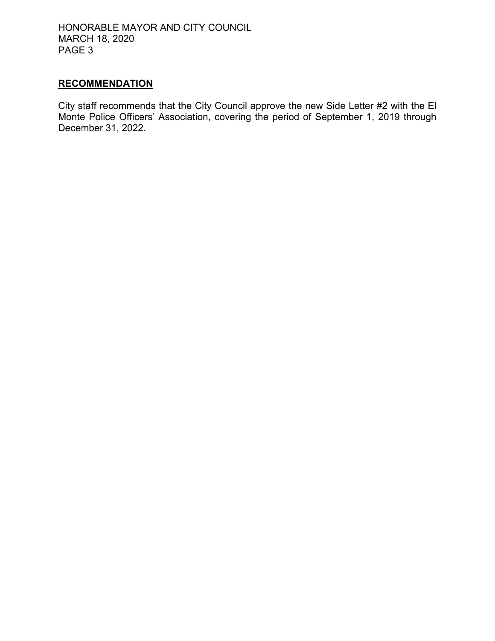HONORABLE MAYOR AND CITY COUNCIL MARCH 18, 2020 PAGE 3

## **RECOMMENDATION**

City staff recommends that the City Council approve the new Side Letter #2 with the El Monte Police Officers' Association, covering the period of September 1, 2019 through December 31, 2022.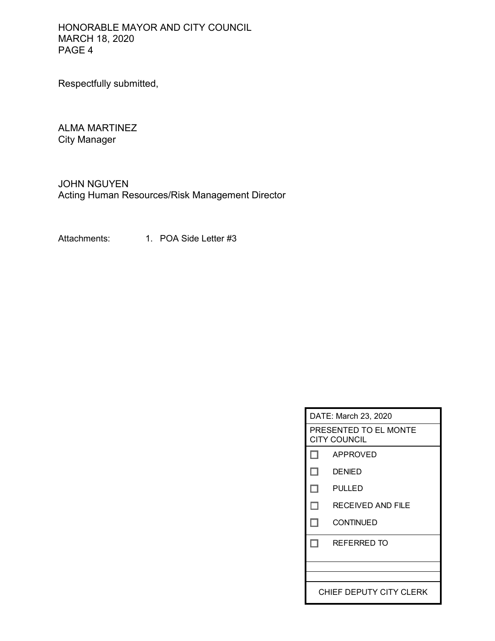HONORABLE MAYOR AND CITY COUNCIL MARCH 18, 2020 PAGE 4

Respectfully submitted,

ALMA MARTINEZ City Manager

JOHN NGUYEN Acting Human Resources/Risk Management Director

Attachments: 1. POA Side Letter #3

| DATE: March 23, 2020                         |                    |  |
|----------------------------------------------|--------------------|--|
| PRESENTED TO EL MONTE<br><b>CITY COUNCIL</b> |                    |  |
| L.                                           | APPROVED           |  |
| n                                            | <b>DENIED</b>      |  |
| п                                            | <b>PULLED</b>      |  |
| ш                                            | RECEIVED AND FILE  |  |
| ш                                            | <b>CONTINUED</b>   |  |
|                                              | <b>REFERRED TO</b> |  |
|                                              |                    |  |
|                                              |                    |  |
| CHIEF DEPUTY CITY CLERK                      |                    |  |
|                                              |                    |  |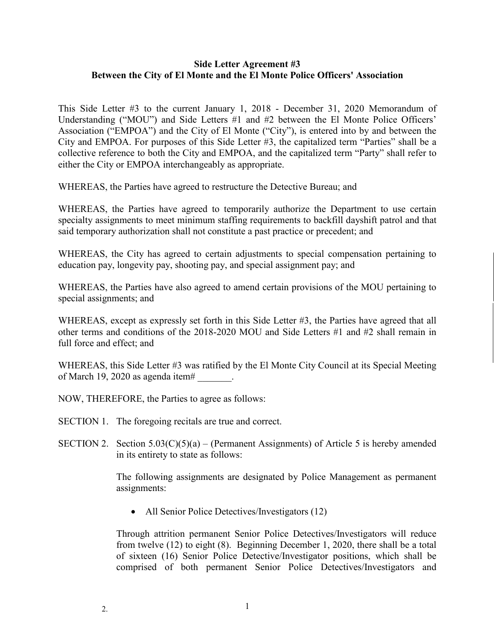#### **Side Letter Agreement #3 Between the City of El Monte and the El Monte Police Officers' Association**

This Side Letter #3 to the current January 1, 2018 - December 31, 2020 Memorandum of Understanding ("MOU") and Side Letters #1 and #2 between the El Monte Police Officers' Association ("EMPOA") and the City of El Monte ("City"), is entered into by and between the City and EMPOA. For purposes of this Side Letter #3, the capitalized term "Parties" shall be a collective reference to both the City and EMPOA, and the capitalized term "Party" shall refer to either the City or EMPOA interchangeably as appropriate.

WHEREAS, the Parties have agreed to restructure the Detective Bureau; and

WHEREAS, the Parties have agreed to temporarily authorize the Department to use certain specialty assignments to meet minimum staffing requirements to backfill dayshift patrol and that said temporary authorization shall not constitute a past practice or precedent; and

WHEREAS, the City has agreed to certain adjustments to special compensation pertaining to education pay, longevity pay, shooting pay, and special assignment pay; and

WHEREAS, the Parties have also agreed to amend certain provisions of the MOU pertaining to special assignments; and

WHEREAS, except as expressly set forth in this Side Letter #3, the Parties have agreed that all other terms and conditions of the 2018-2020 MOU and Side Letters #1 and #2 shall remain in full force and effect; and

WHEREAS, this Side Letter #3 was ratified by the El Monte City Council at its Special Meeting of March 19, 2020 as agenda item# \_\_\_\_\_\_\_.

NOW, THEREFORE, the Parties to agree as follows:

- SECTION 1. The foregoing recitals are true and correct.
- SECTION 2. Section  $5.03(C)(5)(a) (Permannent Assignments)$  of Article 5 is hereby amended in its entirety to state as follows:

The following assignments are designated by Police Management as permanent assignments:

• All Senior Police Detectives/Investigators (12)

Through attrition permanent Senior Police Detectives/Investigators will reduce from twelve (12) to eight (8). Beginning December 1, 2020, there shall be a total of sixteen (16) Senior Police Detective/Investigator positions, which shall be comprised of both permanent Senior Police Detectives/Investigators and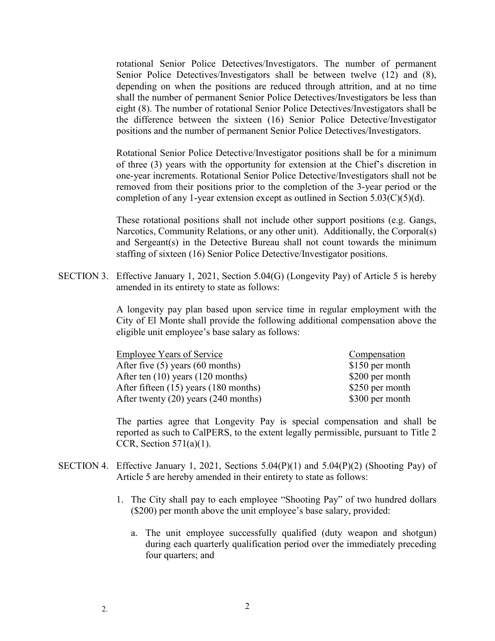rotational Senior Police Detectives/Investigators. The number of permanent Senior Police Detectives/Investigators shall be between twelve (12) and (8), depending on when the positions are reduced through attrition, and at no time shall the number of permanent Senior Police Detectives/Investigators be less than eight (8). The number of rotational Senior Police Detectives/Investigators shall be the difference between the sixteen (16) Senior Police Detective/Investigator positions and the number of permanent Senior Police Detectives/Investigators.

Rotational Senior Police Detective/Investigator positions shall be for a minimum of three (3) years with the opportunity for extension at the Chief's discretion in one-year increments. Rotational Senior Police Detective/Investigators shall not be removed from their positions prior to the completion of the 3-year period or the completion of any 1-year extension except as outlined in Section  $5.03(C)(5)(d)$ .

These rotational positions shall not include other support positions (e.g. Gangs, Narcotics, Community Relations, or any other unit). Additionally, the Corporal(s) and Sergeant(s) in the Detective Bureau shall not count towards the minimum staffing of sixteen (16) Senior Police Detective/Investigator positions.

SECTION 3. Effective January 1, 2021, Section 5.04(G) (Longevity Pay) of Article 5 is hereby amended in its entirety to state as follows:

> A longevity pay plan based upon service time in regular employment with the City of El Monte shall provide the following additional compensation above the eligible unit employee's base salary as follows:

| <b>Employee Years of Service</b>      | Compensation    |
|---------------------------------------|-----------------|
| After five $(5)$ years $(60$ months)  | \$150 per month |
| After ten $(10)$ years $(120$ months) | \$200 per month |
| After fifteen (15) years (180 months) | \$250 per month |
| After twenty (20) years (240 months)  | \$300 per month |

The parties agree that Longevity Pay is special compensation and shall be reported as such to CalPERS, to the extent legally permissible, pursuant to Title 2 CCR, Section  $571(a)(1)$ .

- SECTION 4. Effective January 1, 2021, Sections 5.04(P)(1) and 5.04(P)(2) (Shooting Pay) of Article 5 are hereby amended in their entirety to state as follows:
	- 1. The City shall pay to each employee "Shooting Pay" of two hundred dollars (\$200) per month above the unit employee's base salary, provided:
		- a. The unit employee successfully qualified (duty weapon and shotgun) during each quarterly qualification period over the immediately preceding four quarters; and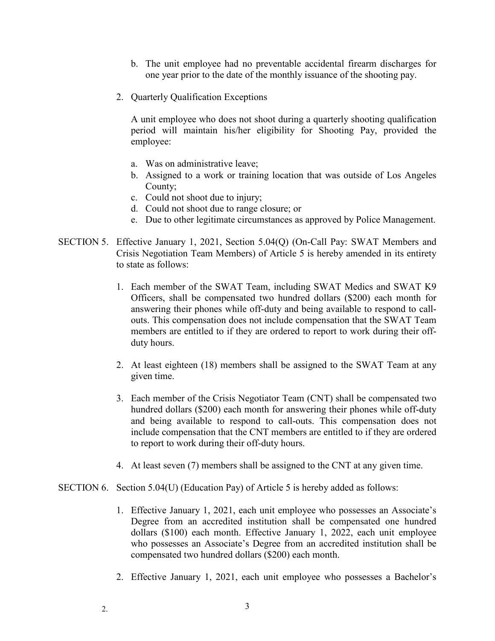- b. The unit employee had no preventable accidental firearm discharges for one year prior to the date of the monthly issuance of the shooting pay.
- 2. Quarterly Qualification Exceptions

A unit employee who does not shoot during a quarterly shooting qualification period will maintain his/her eligibility for Shooting Pay, provided the employee:

- a. Was on administrative leave;
- b. Assigned to a work or training location that was outside of Los Angeles County;
- c. Could not shoot due to injury;
- d. Could not shoot due to range closure; or
- e. Due to other legitimate circumstances as approved by Police Management.
- SECTION 5. Effective January 1, 2021, Section 5.04(Q) (On-Call Pay: SWAT Members and Crisis Negotiation Team Members) of Article 5 is hereby amended in its entirety to state as follows:
	- 1. Each member of the SWAT Team, including SWAT Medics and SWAT K9 Officers, shall be compensated two hundred dollars (\$200) each month for answering their phones while off-duty and being available to respond to callouts. This compensation does not include compensation that the SWAT Team members are entitled to if they are ordered to report to work during their offduty hours.
	- 2. At least eighteen (18) members shall be assigned to the SWAT Team at any given time.
	- 3. Each member of the Crisis Negotiator Team (CNT) shall be compensated two hundred dollars (\$200) each month for answering their phones while off-duty and being available to respond to call-outs. This compensation does not include compensation that the CNT members are entitled to if they are ordered to report to work during their off-duty hours.
	- 4. At least seven (7) members shall be assigned to the CNT at any given time.
- SECTION 6. Section 5.04(U) (Education Pay) of Article 5 is hereby added as follows:
	- 1. Effective January 1, 2021, each unit employee who possesses an Associate's Degree from an accredited institution shall be compensated one hundred dollars (\$100) each month. Effective January 1, 2022, each unit employee who possesses an Associate's Degree from an accredited institution shall be compensated two hundred dollars (\$200) each month.
	- 2. Effective January 1, 2021, each unit employee who possesses a Bachelor's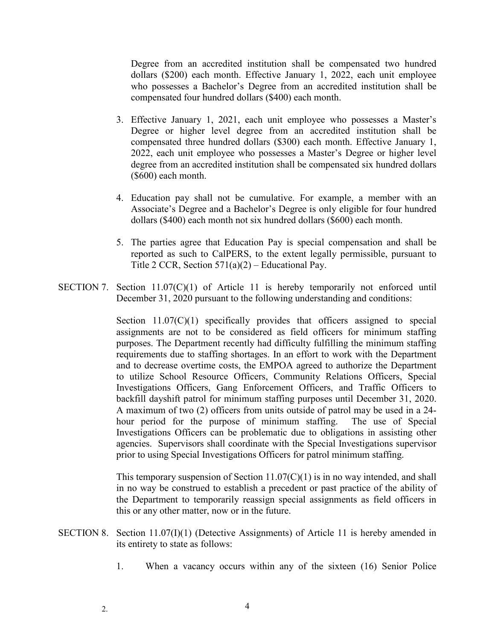Degree from an accredited institution shall be compensated two hundred dollars (\$200) each month. Effective January 1, 2022, each unit employee who possesses a Bachelor's Degree from an accredited institution shall be compensated four hundred dollars (\$400) each month.

- 3. Effective January 1, 2021, each unit employee who possesses a Master's Degree or higher level degree from an accredited institution shall be compensated three hundred dollars (\$300) each month. Effective January 1, 2022, each unit employee who possesses a Master's Degree or higher level degree from an accredited institution shall be compensated six hundred dollars (\$600) each month.
- 4. Education pay shall not be cumulative. For example, a member with an Associate's Degree and a Bachelor's Degree is only eligible for four hundred dollars (\$400) each month not six hundred dollars (\$600) each month.
- 5. The parties agree that Education Pay is special compensation and shall be reported as such to CalPERS, to the extent legally permissible, pursuant to Title 2 CCR, Section  $571(a)(2)$  – Educational Pay.
- SECTION 7. Section 11.07(C)(1) of Article 11 is hereby temporarily not enforced until December 31, 2020 pursuant to the following understanding and conditions:

Section 11.07(C)(1) specifically provides that officers assigned to special assignments are not to be considered as field officers for minimum staffing purposes. The Department recently had difficulty fulfilling the minimum staffing requirements due to staffing shortages. In an effort to work with the Department and to decrease overtime costs, the EMPOA agreed to authorize the Department to utilize School Resource Officers, Community Relations Officers, Special Investigations Officers, Gang Enforcement Officers, and Traffic Officers to backfill dayshift patrol for minimum staffing purposes until December 31, 2020. A maximum of two (2) officers from units outside of patrol may be used in a 24 hour period for the purpose of minimum staffing. The use of Special Investigations Officers can be problematic due to obligations in assisting other agencies. Supervisors shall coordinate with the Special Investigations supervisor prior to using Special Investigations Officers for patrol minimum staffing.

This temporary suspension of Section  $11.07(C)(1)$  is in no way intended, and shall in no way be construed to establish a precedent or past practice of the ability of the Department to temporarily reassign special assignments as field officers in this or any other matter, now or in the future.

- SECTION 8. Section 11.07(I)(1) (Detective Assignments) of Article 11 is hereby amended in its entirety to state as follows:
	- 1. When a vacancy occurs within any of the sixteen (16) Senior Police